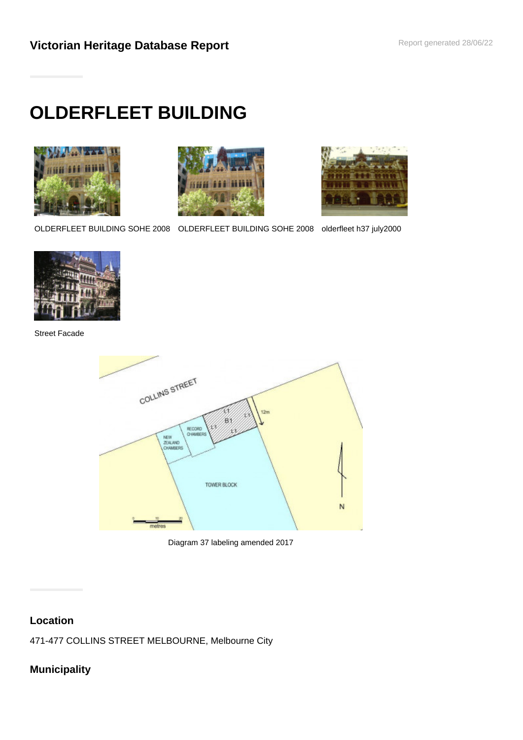# **OLDERFLEET BUILDING**







OLDERFLEET BUILDING SOHE 2008 OLDERFLEET BUILDING SOHE 2008 olderfleet h37 july2000



Street Facade





# **Location**

471-477 COLLINS STREET MELBOURNE, Melbourne City

# **Municipality**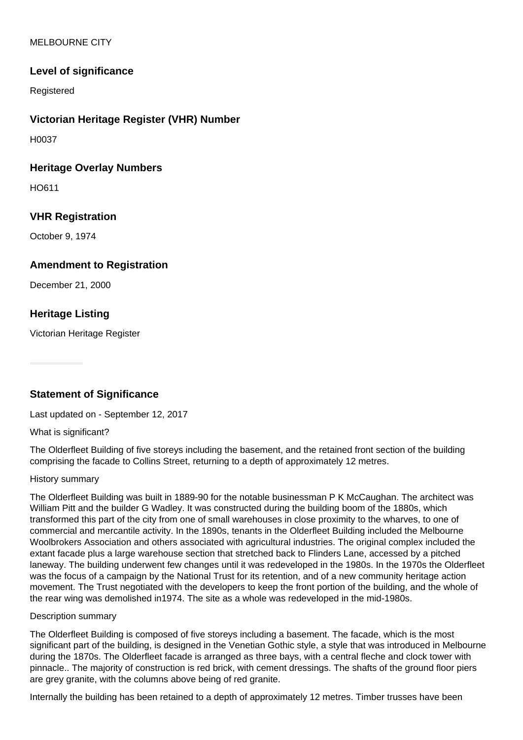#### MELBOURNE CITY

# **Level of significance**

Registered

## **Victorian Heritage Register (VHR) Number**

H0037

#### **Heritage Overlay Numbers**

HO611

## **VHR Registration**

October 9, 1974

#### **Amendment to Registration**

December 21, 2000

# **Heritage Listing**

Victorian Heritage Register

# **Statement of Significance**

Last updated on - September 12, 2017

#### What is significant?

The Olderfleet Building of five storeys including the basement, and the retained front section of the building comprising the facade to Collins Street, returning to a depth of approximately 12 metres.

#### History summary

The Olderfleet Building was built in 1889-90 for the notable businessman P K McCaughan. The architect was William Pitt and the builder G Wadley. It was constructed during the building boom of the 1880s, which transformed this part of the city from one of small warehouses in close proximity to the wharves, to one of commercial and mercantile activity. In the 1890s, tenants in the Olderfleet Building included the Melbourne Woolbrokers Association and others associated with agricultural industries. The original complex included the extant facade plus a large warehouse section that stretched back to Flinders Lane, accessed by a pitched laneway. The building underwent few changes until it was redeveloped in the 1980s. In the 1970s the Olderfleet was the focus of a campaign by the National Trust for its retention, and of a new community heritage action movement. The Trust negotiated with the developers to keep the front portion of the building, and the whole of the rear wing was demolished in1974. The site as a whole was redeveloped in the mid-1980s.

#### Description summary

The Olderfleet Building is composed of five storeys including a basement. The facade, which is the most significant part of the building, is designed in the Venetian Gothic style, a style that was introduced in Melbourne during the 1870s. The Olderfleet facade is arranged as three bays, with a central fleche and clock tower with pinnacle.. The majority of construction is red brick, with cement dressings. The shafts of the ground floor piers are grey granite, with the columns above being of red granite.

Internally the building has been retained to a depth of approximately 12 metres. Timber trusses have been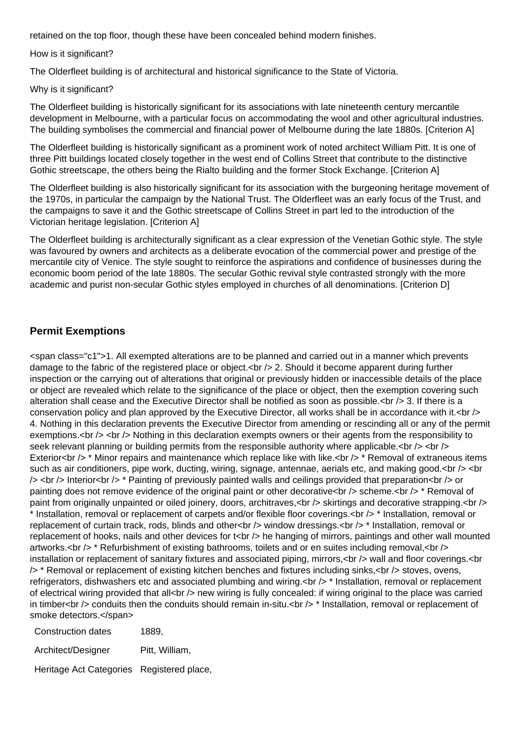retained on the top floor, though these have been concealed behind modern finishes.

How is it significant?

The Olderfleet building is of architectural and historical significance to the State of Victoria.

#### Why is it significant?

The Olderfleet building is historically significant for its associations with late nineteenth century mercantile development in Melbourne, with a particular focus on accommodating the wool and other agricultural industries. The building symbolises the commercial and financial power of Melbourne during the late 1880s. [Criterion A]

The Olderfleet building is historically significant as a prominent work of noted architect William Pitt. It is one of three Pitt buildings located closely together in the west end of Collins Street that contribute to the distinctive Gothic streetscape, the others being the Rialto building and the former Stock Exchange. [Criterion A]

The Olderfleet building is also historically significant for its association with the burgeoning heritage movement of the 1970s, in particular the campaign by the National Trust. The Olderfleet was an early focus of the Trust, and the campaigns to save it and the Gothic streetscape of Collins Street in part led to the introduction of the Victorian heritage legislation. [Criterion A]

The Olderfleet building is architecturally significant as a clear expression of the Venetian Gothic style. The style was favoured by owners and architects as a deliberate evocation of the commercial power and prestige of the mercantile city of Venice. The style sought to reinforce the aspirations and confidence of businesses during the economic boom period of the late 1880s. The secular Gothic revival style contrasted strongly with the more academic and purist non-secular Gothic styles employed in churches of all denominations. [Criterion D]

# **Permit Exemptions**

<span class="c1">1. All exempted alterations are to be planned and carried out in a manner which prevents damage to the fabric of the registered place or object.  $\langle$   $\rangle$  2. Should it become apparent during further inspection or the carrying out of alterations that original or previously hidden or inaccessible details of the place or object are revealed which relate to the significance of the place or object, then the exemption covering such alteration shall cease and the Executive Director shall be notified as soon as possible. $\langle$ br  $/$ > 3. If there is a conservation policy and plan approved by the Executive Director, all works shall be in accordance with it.<br /> 4. Nothing in this declaration prevents the Executive Director from amending or rescinding all or any of the permit exemptions.<br />> <br />Mothing in this declaration exempts owners or their agents from the responsibility to seek relevant planning or building permits from the responsible authority where applicable.<br />> <br /> Exterior<br /> \* Minor repairs and maintenance which replace like with like.<br /> \* Removal of extraneous items such as air conditioners, pipe work, ducting, wiring, signage, antennae, aerials etc, and making good. $\langle$ br  $/$   $>$   $\langle$ br  $\lambda$  <br />> Interior<br />> \* Painting of previously painted walls and ceilings provided that preparation<br />>>>> or painting does not remove evidence of the original paint or other decorative <br />> /> scheme.<br />
removal of paint from originally unpainted or oiled joinery, doors, architraves,  $\langle$ br /> skirtings and decorative strapping. $\langle$ br /> \* Installation, removal or replacement of carpets and/or flexible floor coverings.<br /> \* Installation, removal or replacement of curtain track, rods, blinds and other<br />
lessings.<br />
installation, removal or replacement of hooks, nails and other devices for t<br /> he hanging of mirrors, paintings and other wall mounted artworks.<br />> \* Refurbishment of existing bathrooms, toilets and or en suites including removal,<br />  $\gamma$ installation or replacement of sanitary fixtures and associated piping, mirrors,<br /> wall and floor coverings.<br /> \* Removal or replacement of existing kitchen benches and fixtures including sinks,<br /> stoves, ovens, refrigerators, dishwashers etc and associated plumbing and wiring. <br />> \* Installation, removal or replacement of electrical wiring provided that all<br  $/$ > new wiring is fully concealed: if wiring original to the place was carried in timber<br />>> conduits then the conduits should remain in-situ.<br /> $\ge$  \* Installation, removal or replacement of smoke detectors.</span>

| Construction dates                        | 1889.          |
|-------------------------------------------|----------------|
| Architect/Designer                        | Pitt. William. |
| Heritage Act Categories Registered place, |                |